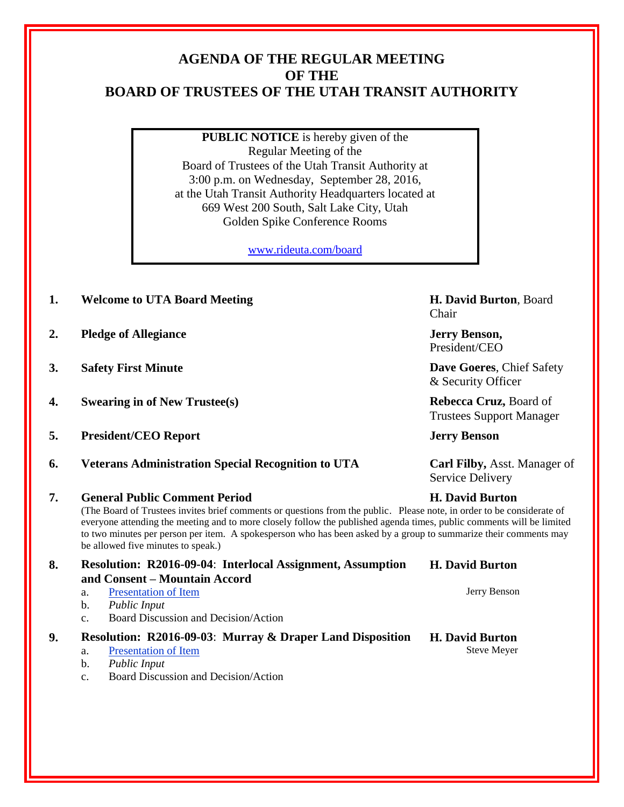## **AGENDA OF THE REGULAR MEETING OF THE BOARD OF TRUSTEES OF THE UTAH TRANSIT AUTHORITY**

**PUBLIC NOTICE** is hereby given of the Regular Meeting of the Board of Trustees of the Utah Transit Authority at 3:00 p.m. on Wednesday, September 28, 2016, at the Utah Transit Authority Headquarters located at 669 West 200 South, Salt Lake City, Utah Golden Spike Conference Rooms

[www.rideuta.com/board](http://www.rideuta.com/board)

- **1. Welcome to UTA Board Meeting H. David Burton**, Board Chair **2. Pledge of Allegiance Jerry Benson,**  President/CEO **3. Safety First Minute Dave Goeres**, Chief Safety & Security Officer **4. Swearing in of New Trustee(s) Rebecca Cruz,** Board of Trustees Support Manager **5. President/CEO Report Jerry Benson 6. Veterans Administration Special Recognition to UTA Carl Filby,** Asst. Manager of Service Delivery **7. General Public Comment Period H. David Burton** (The Board of Trustees invites brief comments or questions from the public. Please note, in order to be considerate of everyone attending the meeting and to more closely follow the published agenda times, public comments will be limited to two minutes per person per item. A spokesperson who has been asked by a group to summarize their comments may be allowed five minutes to speak.) **8. Resolution: R2016-09-04**: **Interlocal Assignment, Assumption and Consent – Mountain Accord H. David Burton** a. Presentation of Item Jerry Benson b. *Public Input* c. Board Discussion and Decision/Action **9. Resolution: R2016-09-03**: **Murray & Draper Land Disposition H. David Burton** a. Presentation of Item Steve Meyer b. *Public Input*
	- c. Board Discussion and Decision/Action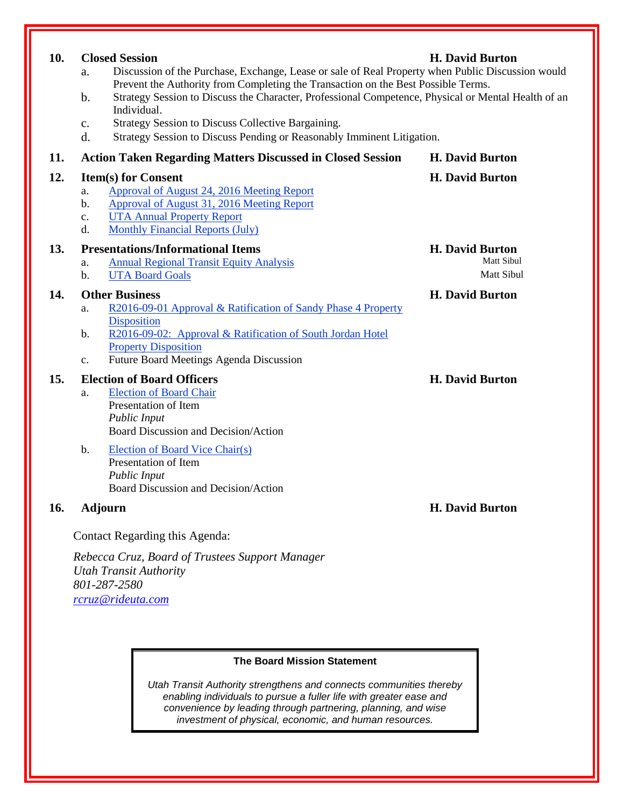| 10. | <b>Closed Session</b><br><b>H. David Burton</b><br>Discussion of the Purchase, Exchange, Lease or sale of Real Property when Public Discussion would<br>a.<br>Prevent the Authority from Completing the Transaction on the Best Possible Terms.<br>Strategy Session to Discuss the Character, Professional Competence, Physical or Mental Health of an<br>b.<br>Individual.<br>Strategy Session to Discuss Collective Bargaining.<br>c.<br>Strategy Session to Discuss Pending or Reasonably Imminent Litigation.<br>$\mathbf{d}$ . |                                                    |
|-----|-------------------------------------------------------------------------------------------------------------------------------------------------------------------------------------------------------------------------------------------------------------------------------------------------------------------------------------------------------------------------------------------------------------------------------------------------------------------------------------------------------------------------------------|----------------------------------------------------|
| 11. | <b>Action Taken Regarding Matters Discussed in Closed Session</b>                                                                                                                                                                                                                                                                                                                                                                                                                                                                   | H. David Burton                                    |
| 12. | <b>Item(s) for Consent</b><br>Approval of August 24, 2016 Meeting Report<br>a.<br>Approval of August 31, 2016 Meeting Report<br>b.<br><b>UTA Annual Property Report</b><br>c.<br><b>Monthly Financial Reports (July)</b><br>d.                                                                                                                                                                                                                                                                                                      | <b>H. David Burton</b>                             |
| 13. | <b>Presentations/Informational Items</b><br><b>Annual Regional Transit Equity Analysis</b><br>a.<br><b>UTA Board Goals</b><br>b.                                                                                                                                                                                                                                                                                                                                                                                                    | <b>H. David Burton</b><br>Matt Sibul<br>Matt Sibul |
| 14. | <b>Other Business</b><br>R2016-09-01 Approval & Ratification of Sandy Phase 4 Property<br>a.<br><b>Disposition</b><br>R2016-09-02: Approval & Ratification of South Jordan Hotel<br>b.<br><b>Property Disposition</b><br>Future Board Meetings Agenda Discussion<br>c.                                                                                                                                                                                                                                                              | <b>H. David Burton</b>                             |
| 15. | <b>Election of Board Officers</b><br><b>Election of Board Chair</b><br>a.<br>Presentation of Item<br><b>Public Input</b><br>Board Discussion and Decision/Action                                                                                                                                                                                                                                                                                                                                                                    | <b>H. David Burton</b>                             |
|     | $\mathbf b$ .<br>Election of Board Vice Chair(s)<br>Presentation of Item<br>Public Input<br>Board Discussion and Decision/Action                                                                                                                                                                                                                                                                                                                                                                                                    |                                                    |
| 16. | <b>Adjourn</b>                                                                                                                                                                                                                                                                                                                                                                                                                                                                                                                      | <b>H. David Burton</b>                             |
|     | Contact Regarding this Agenda:                                                                                                                                                                                                                                                                                                                                                                                                                                                                                                      |                                                    |

## **The Board Mission Statement**

*Rebecca Cruz, Board of Trustees Support Manager*

*Utah Transit Authority*

*801-287-2580 [rcruz@rideuta.com](mailto:rcruz@rideuta.com)*

> *Utah Transit Authority strengthens and connects communities thereby enabling individuals to pursue a fuller life with greater ease and convenience by leading through partnering, planning, and wise investment of physical, economic, and human resources.*